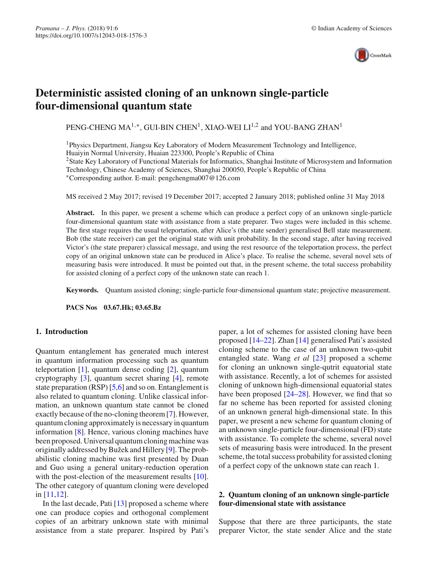

# **Deterministic assisted cloning of an unknown single-particle four-dimensional quantum state**

PENG-CHENG MA<sup>1,\*</sup>, GUI-BIN CHEN<sup>1</sup>, XIAO-WEI LI<sup>1,2</sup> and YOU-BANG ZHAN<sup>1</sup>

1Physics Department, Jiangsu Key Laboratory of Modern Measurement Technology and Intelligence, Huaiyin Normal University, Huaian 223300, People's Republic of China 2State Key Laboratory of Functional Materials for Informatics, Shanghai Institute of Microsystem and Information Technology, Chinese Academy of Sciences, Shanghai 200050, People's Republic of China ∗Corresponding author. E-mail: pengchengma007@126.com

MS received 2 May 2017; revised 19 December 2017; accepted 2 January 2018; published online 31 May 2018

**Abstract.** In this paper, we present a scheme which can produce a perfect copy of an unknown single-particle four-dimensional quantum state with assistance from a state preparer. Two stages were included in this scheme. The first stage requires the usual teleportation, after Alice's (the state sender) generalised Bell state measurement. Bob (the state receiver) can get the original state with unit probability. In the second stage, after having received Victor's (the state preparer) classical message, and using the rest resource of the teleportation process, the perfect copy of an original unknown state can be produced in Alice's place. To realise the scheme, several novel sets of measuring basis were introduced. It must be pointed out that, in the present scheme, the total success probability for assisted cloning of a perfect copy of the unknown state can reach 1.

**Keywords.** Quantum assisted cloning; single-particle four-dimensional quantum state; projective measurement.

**PACS Nos 03.67.Hk; 03.65.Bz**

## **1. Introduction**

Quantum entanglement has generated much interest in quantum information processing such as quantum teleportation [\[1\]](#page-4-0), quantum dense coding [\[2\]](#page-4-1), quantum cryptography [\[3](#page-4-2)], quantum secret sharing [\[4](#page-4-3)], remote state preparation (RSP) [\[5](#page-4-4)[,6\]](#page-4-5) and so on. Entanglement is also related to quantum cloning. Unlike classical information, an unknown quantum state cannot be cloned exactly because of the no-cloning theorem [\[7\]](#page-4-6). However, quantum cloning approximately is necessary in quantum information [\[8](#page-4-7)]. Hence, various cloning machines have been proposed. Universal quantum cloning machine was originally addressed by Bužek and Hillery [\[9](#page-4-8)]. The probabilistic cloning machine was first presented by Duan and Guo using a general unitary-reduction operation with the post-election of the measurement results [\[10](#page-5-0)]. The other category of quantum cloning were developed in [\[11](#page-5-1)[,12](#page-5-2)].

In the last decade, Pati [\[13](#page-5-3)] proposed a scheme where one can produce copies and orthogonal complement copies of an arbitrary unknown state with minimal assistance from a state preparer. Inspired by Pati's paper, a lot of schemes for assisted cloning have been proposed [\[14](#page-5-4)[–22](#page-5-5)]. Zhan [\[14\]](#page-5-4) generalised Pati's assisted cloning scheme to the case of an unknown two-qubit entangled state. Wang *et al* [\[23](#page-5-6)] proposed a scheme for cloning an unknown single-qutrit equatorial state with assistance. Recently, a lot of schemes for assisted cloning of unknown high-dimensional equatorial states have been proposed [\[24](#page-5-7)[–28](#page-5-8)]. However, we find that so far no scheme has been reported for assisted cloning of an unknown general high-dimensional state. In this paper, we present a new scheme for quantum cloning of an unknown single-particle four-dimensional (FD) state with assistance. To complete the scheme, several novel sets of measuring basis were introduced. In the present scheme, the total success probability for assisted cloning of a perfect copy of the unknown state can reach 1.

# **2. Quantum cloning of an unknown single-particle four-dimensional state with assistance**

Suppose that there are three participants, the state preparer Victor, the state sender Alice and the state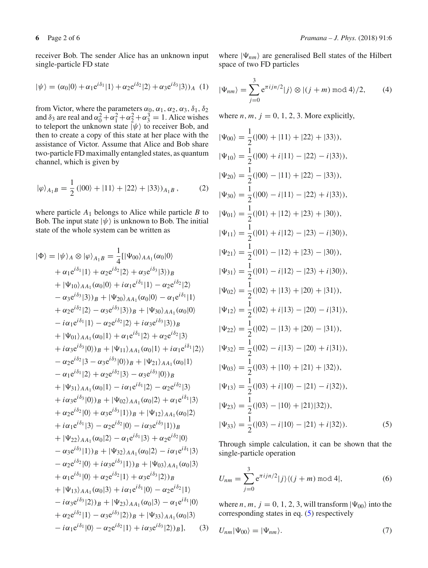receiver Bob. The sender Alice has an unknown input single-particle FD state

$$
|\psi\rangle = (\alpha_0|0\rangle + \alpha_1 e^{i\delta_1}|1\rangle + \alpha_2 e^{i\delta_2}|2\rangle + \alpha_3 e^{i\delta_3}|3\rangle)_A
$$
 (1)

from Victor, where the parameters  $\alpha_0$ ,  $\alpha_1$ ,  $\alpha_2$ ,  $\alpha_3$ ,  $\delta_1$ ,  $\delta_2$ and  $\delta_3$  are real and  $\alpha_0^2 + \alpha_1^2 + \alpha_2^2 + \alpha_3^3 = 1$ . Alice wishes to teleport the unknown state  $|\psi\rangle$  to receiver Bob, and then to create a copy of this state at her place with the assistance of Victor. Assume that Alice and Bob share two-particle FD maximally entangled states, as quantum channel, which is given by

$$
|\varphi\rangle_{A_1B} = \frac{1}{2} (|00\rangle + |11\rangle + |22\rangle + |33\rangle)_{A_1B},
$$
 (2)

where particle *A*<sup>1</sup> belongs to Alice while particle *B* to Bob. The input state  $|\psi\rangle$  is unknown to Bob. The initial state of the whole system can be written as

$$
|\Phi\rangle = |\psi\rangle_A \otimes |\varphi\rangle_{A_1B} = \frac{1}{4}[|\Psi_{00}\rangle_{AA_1}(\alpha_0|0\rangle + \alpha_1 e^{i\delta_1}|1\rangle + \alpha_2 e^{i\delta_2}|2\rangle + \alpha_3 e^{i\delta_3}|3\rangle)_B + |\Psi_{10}\rangle_{AA_1}(\alpha_0|0\rangle + i\alpha_1 e^{i\delta_1}|1\rangle - \alpha_2 e^{i\delta_2}|2\rangle - \alpha_3 e^{i\delta_3}|3\rangle)_B + |\Psi_{20}\rangle_{AA_1}(\alpha_0|0\rangle - \alpha_1 e^{i\delta_1}|1\rangle + \alpha_2 e^{i\delta_2}|2\rangle - \alpha_3 e^{i\delta_3}|3\rangle)_B + |\Psi_{30}\rangle_{AA_1}(\alpha_0|0\rangle - i\alpha_1 e^{i\delta_1}|1\rangle - \alpha_2 e^{i\delta_2}|2\rangle + i\alpha_3 e^{i\delta_3}|3\rangle)_B + |\Psi_{01}\rangle_{AA_1}(\alpha_0|1\rangle + \alpha_1 e^{i\delta_1}|2\rangle + \alpha_2 e^{i\delta_2}|3\rangle + i\alpha_3 e^{i\delta_3}|0\rangle)_B + |\Psi_{11}\rangle_{AA_1}(\alpha_0|1\rangle + i\alpha_1 e^{i\delta_1}|2\rangle) - \alpha_2 e^{i\delta_2}|3\rangle - \alpha_3 e^{i\delta_3}|0\rangle)_B + |\Psi_{21}\rangle_{AA_1}(\alpha_0|1\rangle - \alpha_1 e^{i\delta_1}|2\rangle + \alpha_2 e^{i\delta_2}|3\rangle - \alpha_3 e^{i\delta_3}|0\rangle)_B + |\Psi_{31}\rangle_{AA_1}(\alpha_0|1\rangle - i\alpha_1 e^{i\delta_1}|2\rangle - \alpha_2 e^{i\delta_2}|3\rangle + i\alpha_3 e^{i\delta_3}|0\rangle)_B + |\Psi_{02}\rangle_{AA_1}(\alpha_0|2\rangle + \alpha_1 e^{i\delta_1}|3\rangle + \alpha_2 e^{i\delta_2}|0\rangle + \alpha_3 e^{i\delta_3}|1\rangle)_B + |\Psi_{12}\rangle_{AA_1}(\alpha_0|2\rangle + i\alpha_1 e^{i\delta_1}|3\rangle - \alpha_2 e^{i\delta_2}|0\rangle -
$$

where  $|\Psi_{nm}\rangle$  are generalised Bell states of the Hilbert space of two FD particles

$$
|\Psi_{nm}\rangle = \sum_{j=0}^{3} e^{\pi i j n/2} |j\rangle \otimes |(j+m) \bmod 4\rangle / 2, \qquad (4)
$$

where  $n, m, j = 0, 1, 2, 3$ . More explicitly,

$$
|\Psi_{00}\rangle = \frac{1}{2}(|00\rangle + |11\rangle + |22\rangle + |33\rangle),
$$
  
\n
$$
|\Psi_{10}\rangle = \frac{1}{2}(|00\rangle + i|11\rangle - |22\rangle - i|33\rangle),
$$
  
\n
$$
|\Psi_{20}\rangle = \frac{1}{2}(|00\rangle - |11\rangle + |22\rangle - |33\rangle),
$$
  
\n
$$
|\Psi_{30}\rangle = \frac{1}{2}(|00\rangle - i|11\rangle - |22\rangle + i|33\rangle),
$$
  
\n
$$
|\Psi_{01}\rangle = \frac{1}{2}(|01\rangle + |12\rangle + |23\rangle + |30\rangle),
$$
  
\n
$$
|\Psi_{11}\rangle = \frac{1}{2}(|01\rangle + i|12\rangle - |23\rangle - i|30\rangle),
$$
  
\n
$$
|\Psi_{21}\rangle = \frac{1}{2}(|01\rangle - |12\rangle + |23\rangle - |30\rangle),
$$
  
\n
$$
|\Psi_{31}\rangle = \frac{1}{2}(|02\rangle + |13\rangle + |20\rangle + |31\rangle),
$$
  
\n
$$
|\Psi_{12}\rangle = \frac{1}{2}(|02\rangle + i|13\rangle - |20\rangle - i|31\rangle),
$$
  
\n
$$
|\Psi_{22}\rangle = \frac{1}{2}(|02\rangle - |13\rangle + |20\rangle - |31\rangle),
$$
  
\n
$$
|\Psi_{32}\rangle = \frac{1}{2}(|02\rangle - i|13\rangle - |20\rangle + i|31\rangle),
$$
  
\n
$$
|\Psi_{03}\rangle = \frac{1}{2}(|03\rangle + |10\rangle + |21\rangle + |32\rangle),
$$
  
\n
$$
|\Psi_{13}\rangle = \frac{1}{2}(|03\rangle + i|10\rangle - |21\rangle - i|32\rangle),
$$
  
\n
$$
|\Psi_{23}\rangle = \frac{1}{2}(|03\rangle - |10\rangle + |21\rangle|32\rangle),
$$
  
\n
$$
|\Psi_{33}\rangle = \frac{1}{2}(|03\rangle - i|10\rangle - |21\rangle +
$$

<span id="page-1-0"></span>Through simple calculation, it can be shown that the single-particle operation

$$
U_{nm} = \sum_{j=0}^{3} e^{\pi i j n/2} |j\rangle \langle (j+m) \bmod 4|,\tag{6}
$$

where *n*, *m*,  $j = 0, 1, 2, 3$ , will transform  $|\Psi_{00}\rangle$  into the corresponding states in eq. [\(5\)](#page-1-0) respectively

<span id="page-1-2"></span><span id="page-1-1"></span>
$$
U_{nm}|\Psi_{00}\rangle = |\Psi_{nm}\rangle. \tag{7}
$$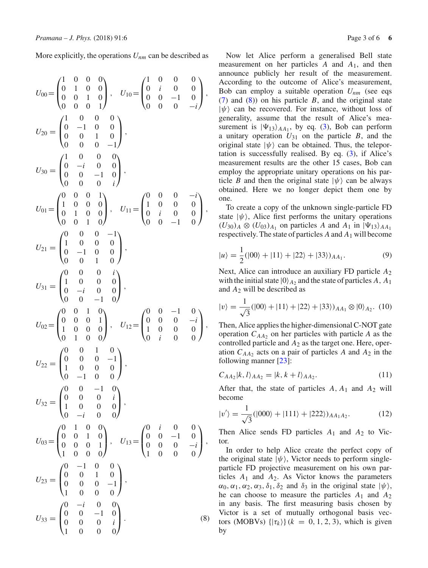More explicitly, the operations *Unm* can be described as

<span id="page-2-0"></span>
$$
U_{00} = \begin{pmatrix} 1 & 0 & 0 & 0 \\ 0 & 1 & 0 & 0 \\ 0 & 0 & 1 & 0 \\ 0 & 0 & 0 & 1 \end{pmatrix}, \quad U_{10} = \begin{pmatrix} 1 & 0 & 0 & 0 \\ 0 & i & 0 & 0 \\ 0 & -1 & 0 & 0 \\ 0 & 0 & -1 & 0 \\ 0 & 0 & 0 & 0 \\ 0 & 0 & 0 & -1 \end{pmatrix},
$$
  
\n
$$
U_{20} = \begin{pmatrix} 1 & 0 & 0 & 0 \\ 0 & -i & 0 & 0 \\ 0 & 0 & 1 & 0 \\ 0 & 0 & 0 & i \end{pmatrix},
$$
  
\n
$$
U_{01} = \begin{pmatrix} 1 & 0 & 0 & 0 \\ 0 & -i & 0 & 0 \\ 0 & 1 & 0 & 0 \\ 0 & 1 & 0 & 0 \\ 0 & 0 & 1 & 0 \end{pmatrix}, \quad U_{11} = \begin{pmatrix} 0 & 0 & 0 & -i \\ 1 & 0 & 0 & 0 \\ 0 & i & 0 & 0 \\ 0 & 0 & -1 & 0 \end{pmatrix},
$$
  
\n
$$
U_{21} = \begin{pmatrix} 0 & 0 & 0 & -1 \\ 1 & 0 & 0 & 0 \\ 0 & -1 & 0 & 0 \\ 0 & 0 & 1 & 0 \end{pmatrix}, \quad U_{12} = \begin{pmatrix} 0 & 0 & -1 & 0 \\ 1 & 0 & 0 & 0 \\ 1 & 0 & 0 & 0 \\ 1 & 0 & 0 & 0 \end{pmatrix},
$$
  
\n
$$
U_{22} = \begin{pmatrix} 0 & 0 & 1 & 0 \\ 1 & 0 & 0 & 0 \\ 1 & 0 & 0 & 0 \\ 0 & -1 & 0 & 0 \end{pmatrix}, \quad U_{12} = \begin{pmatrix} 0 & 0 & -1 & 0 \\ 0 & 0 & 0 & -i \\ 1 & 0 & 0 & 0 \\ 0 & i & 0 & 0 \end{pmatrix},
$$
  
\n
$$
U_{22} = \begin{pmatrix} 0 & 0 & 1 & 0 \\ 0 & 0 & 1 & 0 \\ 1 & 0 & 0 & 0 \\ 1 & 0 & 0 & 0 \end{pmatrix}, \quad U_{13} = \
$$

Now let Alice perform a generalised Bell state measurement on her particles *A* and *A*1, and then announce publicly her result of the measurement. According to the outcome of Alice's measurement, Bob can employ a suitable operation *Unm* (see eqs [\(7\)](#page-1-1) and [\(8\)](#page-2-0)) on his particle *B*, and the original state  $|\psi\rangle$  can be recovered. For instance, without loss of generality, assume that the result of Alice's measurement is  $|\Psi_{13}\rangle_{AA_1}$ , by eq. [\(3\)](#page-1-2), Bob can perform a unitary operation  $U_{31}$  on the particle  $B$ , and the original state  $|\psi\rangle$  can be obtained. Thus, the teleportation is successfully realised. By eq.  $(3)$ , if Alice's measurement results are the other 15 cases, Bob can employ the appropriate unitary operations on his particle *B* and then the original state  $|\psi\rangle$  can be always obtained. Here we no longer depict them one by one.

To create a copy of the unknown single-particle FD state  $|\psi\rangle$ , Alice first performs the unitary operations  $(U_{30})_A \otimes (U_{03})_{A_1}$  on particles *A* and  $A_1$  in  $|\Psi_{13}\rangle_{AA_1}$ respectively. The state of particles  $A$  and  $A_1$  will become

$$
|u\rangle = \frac{1}{2}(|00\rangle + |11\rangle + |22\rangle + |33\rangle)_{AA_1}.
$$
 (9)

Next, Alice can introduce an auxiliary FD particle *A*<sup>2</sup> with the initial state  $|0\rangle_{A_2}$  and the state of particles A, A<sub>1</sub> and *A*<sup>2</sup> will be described as

$$
|v\rangle = \frac{1}{\sqrt{3}}(|00\rangle + |11\rangle + |22\rangle + |33\rangle)_{AA_1} \otimes |0\rangle_{A_2}.
$$
 (10)

Then, Alice applies the higher-dimensional C-NOT gate operation  $C_{AA2}$  on her particles with particle *A* as the controlled particle and *A*<sup>2</sup> as the target one. Here, operation  $C_{AA_2}$  acts on a pair of particles *A* and  $A_2$  in the following manner [\[23\]](#page-5-6):

$$
C_{AA_2}|k,l\rangle_{AA_2} = |k,k+l\rangle_{AA_2}.\tag{11}
$$

After that, the state of particles *A*, *A*<sup>1</sup> and *A*<sup>2</sup> will become

<span id="page-2-2"></span>
$$
|v'\rangle = \frac{1}{\sqrt{3}}(|000\rangle + |111\rangle + |222\rangle)_{AA_1A_2}.\tag{12}
$$

Then Alice sends FD particles *A*<sup>1</sup> and *A*<sup>2</sup> to Victor.

<span id="page-2-1"></span>In order to help Alice create the perfect copy of the original state  $|\psi\rangle$ , Victor needs to perform singleparticle FD projective measurement on his own particles *A*<sup>1</sup> and *A*2. As Victor knows the parameters  $\alpha_0, \alpha_1, \alpha_2, \alpha_3, \delta_1, \delta_2$  and  $\delta_3$  in the original state  $|\psi\rangle$ , he can choose to measure the particles *A*<sup>1</sup> and *A*<sup>2</sup> in any basis. The first measuring basis chosen by Victor is a set of mutually orthogonal basis vectors (MOBVs)  $\{|\tau_k\rangle\}(k = 0, 1, 2, 3)$ , which is given by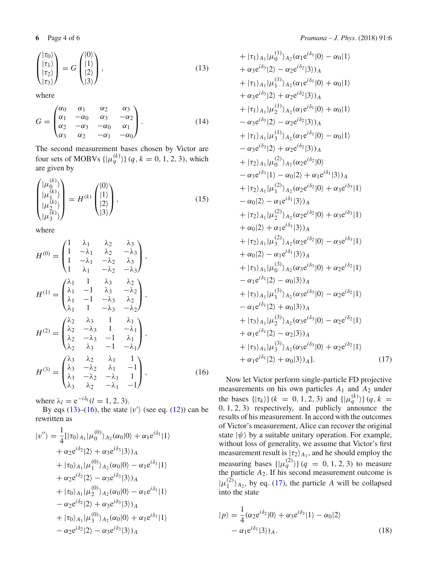$$
\begin{pmatrix} |\tau_0\rangle \\ |\tau_1\rangle \\ |\tau_2\rangle \\ |\tau_3\rangle \end{pmatrix} = G \begin{pmatrix} |0\rangle \\ |1\rangle \\ |2\rangle \\ |3\rangle \end{pmatrix},\tag{13}
$$

where

$$
G = \begin{pmatrix} \alpha_0 & \alpha_1 & \alpha_2 & \alpha_3 \\ \alpha_1 & -\alpha_0 & \alpha_3 & -\alpha_2 \\ \alpha_2 & -\alpha_3 & -\alpha_0 & \alpha_1 \\ \alpha_3 & \alpha_2 & -\alpha_1 & -\alpha_0 \end{pmatrix}.
$$
 (14)

The second measurement bases chosen by Victor are four sets of MOBVs  $\{ | \mu_q^{(k)} \rangle \}$  (*q*, *k* = 0, 1, 2, 3), which are given by

$$
\begin{pmatrix}\n|\mu_0^{(k)}\rangle \\
|\mu_1^{(k)}\rangle \\
|\mu_2^{(k)}\rangle \\
|\mu_3^{(k)}\rangle\n\end{pmatrix} = H^{(k)} \begin{pmatrix}\n|0\rangle \\
|1\rangle \\
|2\rangle \\
|3\rangle\n\end{pmatrix},
$$
\n(15)

where

<span id="page-3-0"></span>
$$
H^{(0)} = \begin{pmatrix} 1 & \lambda_1 & \lambda_2 & \lambda_3 \\ 1 & -\lambda_1 & \lambda_2 & -\lambda_3 \\ 1 & -\lambda_1 & -\lambda_2 & \lambda_3 \\ 1 & \lambda_1 & -\lambda_2 & -\lambda_3 \end{pmatrix},
$$
  
\n
$$
H^{(1)} = \begin{pmatrix} \lambda_1 & 1 & \lambda_3 & \lambda_2 \\ \lambda_1 & -1 & \lambda_3 & -\lambda_2 \\ \lambda_1 & 1 & -\lambda_3 & \lambda_2 \\ \lambda_1 & 1 & -\lambda_3 & -\lambda_2 \end{pmatrix},
$$
  
\n
$$
H^{(2)} = \begin{pmatrix} \lambda_2 & \lambda_3 & 1 & \lambda_1 \\ \lambda_2 & -\lambda_3 & 1 & -\lambda_1 \\ \lambda_2 & \lambda_3 & -1 & \lambda_1 \\ \lambda_2 & \lambda_3 & -1 & -\lambda_1 \end{pmatrix},
$$
  
\n
$$
H^{(3)} = \begin{pmatrix} \lambda_3 & \lambda_2 & \lambda_1 & 1 \\ \lambda_3 & -\lambda_2 & \lambda_1 & -1 \\ \lambda_3 & -\lambda_2 & -\lambda_1 & 1 \\ \lambda_3 & \lambda_2 & -\lambda_1 & -1 \end{pmatrix},
$$
(16)

where  $\lambda_l = e^{-i\delta_l} (l = 1, 2, 3)$ .

By eqs [\(13\)](#page-2-1)–[\(16\)](#page-3-0), the state  $|v'\rangle$  (see eq. [\(12\)](#page-2-2)) can be rewritten as

$$
|v''\rangle = \frac{1}{4} [|\tau_0\rangle_{A_1} | \mu_0^{(0)}\rangle_{A_2} (\alpha_0 |0\rangle + \alpha_1 e^{i\delta_1} |1\rangle + \alpha_2 e^{i\delta_2} |2\rangle + \alpha_3 e^{i\delta_3} |3\rangle)_{A} + |\tau_0\rangle_{A_1} | \mu_1^{(0)}\rangle_{A_2} (\alpha_0 |0\rangle - \alpha_1 e^{i\delta_1} |1\rangle + \alpha_2 e^{i\delta_2} |2\rangle - \alpha_3 e^{i\delta_3} |3\rangle)_{A} + |\tau_0\rangle_{A_1} | \mu_2^{(0)}\rangle_{A_2} (\alpha_0 |0\rangle - \alpha_1 e^{i\delta_1} |1\rangle - \alpha_2 e^{i\delta_2} |2\rangle + \alpha_3 e^{i\delta_3} |3\rangle)_{A} + |\tau_0\rangle_{A_1} | \mu_3^{(0)}\rangle_{A_2} (\alpha_0 |0\rangle + \alpha_1 e^{i\delta_1} |1\rangle - \alpha_2 e^{i\delta_2} |2\rangle - \alpha_3 e^{i\delta_3} |3\rangle)_{A}
$$

**6** Page 4 of 6 *Pramana – J. Phys.* (2018) 91:6

+ 
$$
|\tau_1\rangle_{A_1}|\mu_0^{(1)}\rangle_{A_2}(\alpha_1e^{i\delta_1}|0\rangle - \alpha_0|1\rangle
$$
  
+  $\alpha_3e^{i\delta_3}|2\rangle - \alpha_2e^{i\delta_2}|3\rangle_A$   
+  $|\tau_1\rangle_{A_1}|\mu_1^{(1)}\rangle_{A_2}(\alpha_1e^{i\delta_1}|0\rangle + \alpha_0|1\rangle$   
+  $\alpha_3e^{i\delta_3}|2\rangle + \alpha_2e^{i\delta_2}|3\rangle_A$   
+  $|\tau_1\rangle_{A_1}|\mu_2^{(1)}\rangle_{A_2}(\alpha_1e^{i\delta_1}|0\rangle + \alpha_0|1\rangle$   
-  $\alpha_3e^{i\delta_3}|2\rangle - \alpha_2e^{i\delta_2}|3\rangle_A$   
+  $|\tau_1\rangle_{A_1}|\mu_3^{(1)}\rangle_{A_2}(\alpha_1e^{i\delta_1}|0\rangle - \alpha_0|1\rangle$   
-  $\alpha_3e^{i\delta_3}|2\rangle + \alpha_2e^{i\delta_2}|3\rangle_A$   
+  $|\tau_2\rangle_{A_1}|\mu_0^{(2)}\rangle_{A_2}(\alpha_2e^{i\delta_2}|0\rangle$   
-  $\alpha_3e^{i\delta_3}|1\rangle - \alpha_0|2\rangle + \alpha_1e^{i\delta_1}|3\rangle)_A$   
+  $|\tau_2\rangle_{A_1}|\mu_1^{(2)}\rangle_{A_2}(\alpha_2e^{i\delta_2}|0\rangle + \alpha_3e^{i\delta_3}|1\rangle$   
-  $\alpha_0|2\rangle - \alpha_1e^{i\delta_1}|3\rangle)_A$   
+  $|\tau_2\rangle_{A_1}|\mu_2^{(2)}\rangle_{A_2}(\alpha_2e^{i\delta_2}|0\rangle + \alpha_3e^{i\delta_3}|1\rangle$   
+  $\alpha_0|2\rangle + \alpha_1e^{i\delta_1}|3\rangle)_A$   
+  $|\tau_2\rangle_{A_1}|\mu_3^{(2)}\rangle_{A_2}(\alpha_2e^{i\delta_2}|0\rangle - \alpha_3e^{i\delta_3}|1\rangle$   
+  $\alpha_0|2\rangle - \alpha_1e^{$ 

<span id="page-3-1"></span>Now let Victor perform single-particle FD projective measurements on his own particles *A*<sup>1</sup> and *A*<sup>2</sup> under the bases  $\{|\tau_k\rangle\}$  ( $k = 0, 1, 2, 3$ ) and  $\{|\mu_q^{(k)}\rangle\}$  (q, k = 0, 1, 2, 3) respectively, and publicly announce the results of his measurement. In accord with the outcomes of Victor's measurement, Alice can recover the original state  $|\psi\rangle$  by a suitable unitary operation. For example, without loss of generality, we assume that Victor's first measurement result is  $|\tau_2\rangle_{A_1}$ , and he should employ the measuring bases  $\{ | \mu_q^{(2)} \rangle \} (q = 0, 1, 2, 3)$  to measure the particle  $A_2$ . If his second measurement outcome is  $|\mu_1^{(2)}\rangle_{A_2}$ , by eq. [\(17\)](#page-3-1), the particle *A* will be collapsed into the state

$$
|p\rangle = \frac{1}{4} (\alpha_2 e^{i\delta_2} |0\rangle + \alpha_3 e^{i\delta_3} |1\rangle - \alpha_0 |2\rangle - \alpha_1 e^{i\delta_1} |3\rangle)_A.
$$
 (18)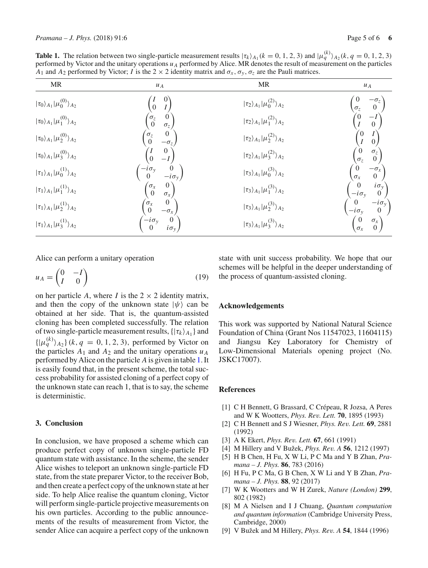<span id="page-4-9"></span>**Table 1.** The relation between two single-particle measurement results  $|\tau_k\rangle_{A_1}(k = 0, 1, 2, 3)$  and  $|\mu_q^{(k)}\rangle_{A_2}(k, q = 0, 1, 2, 3)$ performed by Victor and the unitary operations  $u_A$  performed by Alice. MR denotes the result of measurement on the particles *A*<sub>1</sub> and *A*<sub>2</sub> performed by Victor; *I* is the 2  $\times$  2 identity matrix and  $\sigma_x$ ,  $\sigma_y$ ,  $\sigma_z$  are the Pauli matrices.

| <b>MR</b>                                       | $u_A$                                                                       | <b>MR</b>                                       | $\cal{U}$ $\cal{A}$                                                                            |
|-------------------------------------------------|-----------------------------------------------------------------------------|-------------------------------------------------|------------------------------------------------------------------------------------------------|
| $ \tau_0\rangle_{A_1} \mu_0^{(0)}\rangle_{A_2}$ | $\overline{0}$<br>$\boldsymbol{I}$                                          | $ \tau_2\rangle_{A_1} \mu_0^{(2)}\rangle_{A_2}$ | $\begin{smallmatrix} -\sigma_z\cr 0 \end{smallmatrix}$<br>$\sigma_z$                           |
| $ \tau_0\rangle_{A_1} \mu_1^{(0)}\rangle_{A_2}$ | $\begin{matrix} 0 \\ \sigma_z \end{matrix}$<br>$\sigma_z$<br>0              | $ \tau_2\rangle_{A_1} \mu_1^{(2)}\rangle_{A_2}$ | $\overset{(0}{I}$<br>$\frac{-I}{0}$                                                            |
| $ \tau_0\rangle_{A_1} \mu_2^{(0)}\rangle_{A_2}$ | $\begin{matrix} 0 \\ -\sigma_z \end{matrix}$<br>$\sigma_z\over 0$           | $ \tau_2\rangle_{A_1} \mu_2^{(2)}\rangle_{A_2}$ | $\binom{l}{0}$<br>$\begin{bmatrix} 0 \\ I \end{bmatrix}$                                       |
| $ \tau_0\rangle_{A_1} \mu_3^{(0)}\rangle_{A_2}$ | $\boldsymbol{0}$<br>$\overline{0}$                                          | $ \tau_2\rangle_{A_1} \mu_3^{(2)}\rangle_{A_2}$ | $\sigma_z$<br>$\begin{pmatrix} \sigma_z \\ 0 \end{pmatrix}$                                    |
| $ \tau_1\rangle_{A_1} \mu_0^{(1)}\rangle_{A_2}$ | $\frac{-i\sigma_y}{0}$<br>$\begin{pmatrix} 0 \\ -i\sigma_{v} \end{pmatrix}$ | $ \tau_3\rangle_{A_1} \mu_0^{(3)}\rangle_{A_2}$ | $\begin{bmatrix} -\sigma_x \\ 0 \end{bmatrix}$<br>$\frac{\sigma_x}{\sigma_x}$                  |
| $ \tau_1\rangle_{A_1} \mu_1^{(1)}\rangle_{A_2}$ | $\begin{pmatrix} 0 \\ \sigma_x \end{pmatrix}$<br>$\sigma_x$<br>0            | $ \tau_3\rangle_{A_1} \mu_1^{(3)}\rangle_{A_2}$ | $\begin{matrix} i\sigma_y \\ 0 \end{matrix}$<br>$\begin{array}{c} 0 \\ -i\sigma_v \end{array}$ |
| $ \tau_1\rangle_{A_1} \mu_2^{(1)}\rangle_{A_2}$ | $\begin{pmatrix} 0 \\ -\sigma_x \end{pmatrix}$<br>$\sigma_x$<br>0           | $ \tau_3\rangle_{A_1} \mu_2^{(3)}\rangle_{A_2}$ | $\begin{bmatrix} -i\sigma_y \\ 0 \end{bmatrix}$<br>$\frac{0}{-i\sigma_v}$                      |
| $ \tau_1\rangle_{A_1} \mu_3^{(1)}\rangle_{A_2}$ | $\frac{-i\sigma_y}{0}$<br>$\begin{matrix} 0 \\ i\sigma_v \end{matrix}$      | $ \tau_3\rangle_{A_1} \mu_3^{(3)}\rangle_{A_2}$ | $\begin{pmatrix} \sigma_x \\ 0 \end{pmatrix}$                                                  |

Alice can perform a unitary operation

$$
u_A = \begin{pmatrix} 0 & -I \\ I & 0 \end{pmatrix} \tag{19}
$$

on her particle *A*, where *I* is the  $2 \times 2$  identity matrix, and then the copy of the unknown state  $|\psi\rangle$  can be obtained at her side. That is, the quantum-assisted cloning has been completed successfully. The relation of two single-particle measurement results,{|τ*<sup>k</sup> A*<sup>1</sup> } and  $\{ | \mu_q^{(k)} \rangle_{A_2} \}$  (*k*, *q* = 0, 1, 2, 3), performed by Victor on the particles  $A_1$  and  $A_2$  and the unitary operations  $u_A$ performed by Alice on the particle *A* is given in table [1.](#page-4-9) It is easily found that, in the present scheme, the total success probability for assisted cloning of a perfect copy of the unknown state can reach 1, that is to say, the scheme is deterministic.

## **3. Conclusion**

In conclusion, we have proposed a scheme which can produce perfect copy of unknown single-particle FD quantum state with assistance. In the scheme, the sender Alice wishes to teleport an unknown single-particle FD state, from the state preparer Victor, to the receiver Bob, and then create a perfect copy of the unknown state at her side. To help Alice realise the quantum cloning, Victor will perform single-particle projective measurements on his own particles. According to the public announcements of the results of measurement from Victor, the sender Alice can acquire a perfect copy of the unknown state with unit success probability. We hope that our schemes will be helpful in the deeper understanding of the process of quantum-assisted cloning.

### **Acknowledgements**

This work was supported by National Natural Science Foundation of China (Grant Nos 11547023, 11604115) and Jiangsu Key Laboratory for Chemistry of Low-Dimensional Materials opening project (No. JSKC17007).

#### **References**

- <span id="page-4-0"></span>[1] C H Bennett, G Brassard, C Crépeau, R Jozsa, A Peres and W K Wootters, *Phys. Rev. Lett.* **70**, 1895 (1993)
- <span id="page-4-1"></span>[2] C H Bennett and S J Wiesner, *Phys. Rev. Lett.* **69**, 2881 (1992)
- <span id="page-4-2"></span>[3] A K Ekert, *Phys. Rev. Lett.* **67**, 661 (1991)
- <span id="page-4-3"></span>[4] M Hillery and V Bužek, *Phys. Rev. A* **56**, 1212 (1997)
- <span id="page-4-4"></span>[5] H B Chen, H Fu, X W Li, P C Ma and Y B Zhan, *Pramana – J. Phys.* **86**, 783 (2016)
- <span id="page-4-5"></span>[6] H Fu, P C Ma, G B Chen, X W Li and Y B Zhan, *Pramana – J. Phys.* **88**, 92 (2017)
- <span id="page-4-6"></span>[7] W K Wootters and W H Zurek, *Nature (London)* **299**, 802 (1982)
- <span id="page-4-7"></span>[8] M A Nielsen and I J Chuang, *Quantum computation and quantum information* (Cambridge University Press, Cambridge, 2000)
- <span id="page-4-8"></span>[9] V Bužek and M Hillery, *Phys. Rev. A* **54**, 1844 (1996)